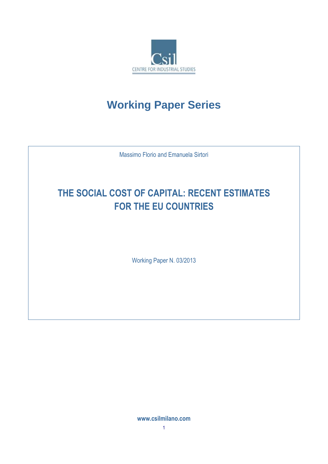

# **Working Paper Series**

Massimo Florio and Emanuela Sirtori

## **THE SOCIAL COST OF CAPITAL: RECENT ESTIMATES FOR THE EU COUNTRIES**

Working Paper N. 03/2013

**www.csilmilano.com**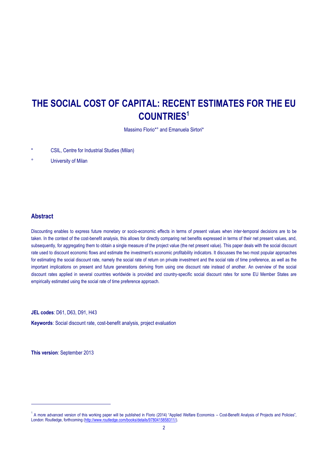### **THE SOCIAL COST OF CAPITAL: RECENT ESTIMATES FOR THE EU COUNTRIES<sup>1</sup>**

Massimo Florio\*° and Emanuela Sirtori\*

CSIL, Centre for Industrial Studies (Milan)

University of Milan

#### **Abstract**

Discounting enables to express future monetary or socio-economic effects in terms of present values when inter-temporal decisions are to be taken. In the context of the cost-benefit analysis, this allows for directly comparing net benefits expressed in terms of their net present values, and, subsequently, for aggregating them to obtain a single measure of the project value (the net present value). This paper deals with the social discount rate used to discount economic flows and estimate the investment's economic profitability indicators. It discusses the two most popular approaches for estimating the social discount rate, namely the social rate of return on private investment and the social rate of time preference, as well as the important implications on present and future generations deriving from using one discount rate instead of another. An overview of the social discount rates applied in several countries worldwide is provided and country-specific social discount rates for some EU Member States are empirically estimated using the social rate of time preference approach.

**JEL codes**: D61, D63, D91, H43

**Keywords**: Social discount rate, cost-benefit analysis, project evaluation

**This version**: September 2013

.

<sup>&</sup>lt;sup>1</sup> A more advanced version of this working paper will be published in Florio (2014) "Applied Welfare Economics – Cost-Benefit Analysis of Projects and Policies", London: Routledge, forthcoming [\(http://www.routledge.com/books/details/9780415858311/\).](http://www.routledge.com/books/details/9780415858311/)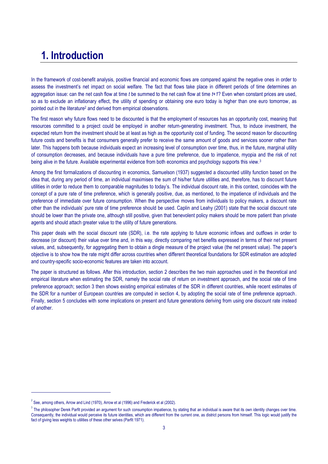### **1. Introduction**

In the framework of cost-benefit analysis, positive financial and economic flows are compared against the negative ones in order to assess the investment's net impact on social welfare. The fact that flows take place in different periods of time determines an aggregation issue: can the net cash flow at time *t* be summed to the net cash flow at time *t+1*? Even when constant prices are used, so as to exclude an inflationary effect, the utility of spending or obtaining one euro today is higher than one euro tomorrow, as pointed out in the literature<sup>2</sup> and derived from empirical observations.

The first reason why future flows need to be discounted is that the employment of resources has an opportunity cost, meaning that resources committed to a project could be employed in another return-generating investment. Thus, to induce investment, the expected return from the investment should be at least as high as the opportunity cost of funding. The second reason for discounting future costs and benefits is that consumers generally prefer to receive the same amount of goods and services sooner rather than later. This happens both because individuals expect an increasing level of consumption over time, thus, in the future, marginal utility of consumption decreases, and because individuals have a pure time preference, due to impatience, myopia and the risk of not being alive in the future. Available experimental evidence from both economics and psychology supports this view.<sup>3</sup>

Among the first formalizations of discounting in economics, Samuelson (1937) suggested a discounted utility function based on the idea that, during any period of time, an individual maximises the sum of his/her future utilities and, therefore, has to discount future utilities in order to reduce them to comparable magnitudes to today's. The individual discount rate, in this context, coincides with the concept of a pure rate of time preference, which is generally positive, due, as mentioned, to the impatience of individuals and the preference of immediate over future consumption. When the perspective moves from individuals to policy makers, a discount rate other than the individuals' pure rate of time preference should be used. Caplin and Leahy (2001) state that the social discount rate should be lower than the private one, although still positive, given that benevolent policy makers should be more patient than private agents and should attach greater value to the utility of future generations.

This paper deals with the social discount rate (SDR), i.e. the rate applying to future economic inflows and outflows in order to decrease (or discount) their value over time and, in this way, directly comparing net benefits expressed in terms of their net present values, and, subsequently, for aggregating them to obtain a dingle measure of the project value (the net present value). The paper's objective is to show how the rate might differ across countries when different theoretical foundations for SDR estimation are adopted and country-specific socio-economic features are taken into account.

The paper is structured as follows. After this introduction, section 2 describes the two main approaches used in the theoretical and empirical literature when estimating the SDR, namely the social rate of return on investment approach, and the social rate of time preference approach; section 3 then shows existing empirical estimates of the SDR in different countries, while recent estimates of the SDR for a number of European countries are computed in section 4, by adopting the social rate of time preference approach. Finally, section 5 concludes with some implications on present and future generations deriving from using one discount rate instead of another.

.

 $2^{2}$  See, among others, Arrow and Lind (1970), Arrow et al (1996) and Frederick et al (2002).

 $^3$  The philosopher Derek Parfit provided an argument for such consumption impatience, by stating that an individual is aware that its own identity changes over time. Consequently, the individual would perceive its future identities, which are different from the current one, as district persons from himself. This logic would justify the fact of giving less weights to utilities of these other selves (Parfit 1971).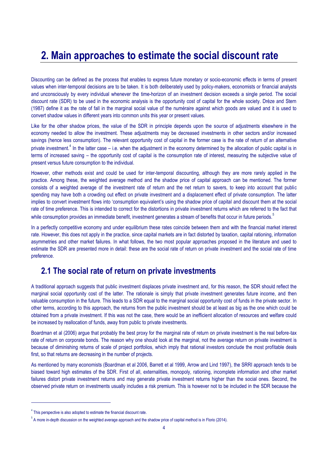## **2. Main approaches to estimate the social discount rate**

Discounting can be defined as the process that enables to express future monetary or socio-economic effects in terms of present values when inter-temporal decisions are to be taken. It is both deliberately used by policy-makers, economists or financial analysts and unconsciously by every individual whenever the time-horizon of an investment decision exceeds a single period. The social discount rate (SDR) to be used in the economic analysis is the opportunity cost of capital for the whole society. Drèze and Stern (1987) define it as the rate of fall in the marginal social value of the numéraire against which goods are valued and it is used to convert shadow values in different years into common units this year or present values.

Like for the other shadow prices, the value of the SDR in principle depends upon the source of adjustments elsewhere in the economy needed to allow the investment. These adjustments may be decreased investments in other sectors and/or increased savings (hence less consumption). The relevant opportunity cost of capital in the former case is the rate of return of an alternative private investment.<sup>4</sup> In the latter case – i.e. when the adjustment in the economy determined by the allocation of public capital is in terms of increased saving – the opportunity cost of capital is the consumption rate of interest, measuring the subjective value of present versus future consumption to the individual.

However, other methods exist and could be used for inter-temporal discounting, although they are more rarely applied in the practice. Among these, the weighted average method and the shadow price of capital approach can be mentioned. The former consists of a weighted average of the investment rate of return and the net return to savers, to keep into account that public spending may have both a crowding out effect on private investment and a displacement effect of private consumption. The latter implies to convert investment flows into 'consumption equivalent's using the shadow price of capital and discount them at the social rate of time preference. This is intended to correct for the distortions in private investment returns which are referred to the fact that while consumption provides an immediate benefit, investment generates a stream of benefits that occur in future periods.<sup>5</sup>

In a perfectly competitive economy and under equilibrium these rates coincide between them and with the financial market interest rate. However, this does not apply in the practice, since capital markets are in fact distorted by taxation, capital rationing, information asymmetries and other market failures. In what follows, the two most popular approaches proposed in the literature and used to estimate the SDR are presented more in detail: these are the social rate of return on private investment and the social rate of time preference.

### **2.1 The social rate of return on private investments**

A traditional approach suggests that public investment displaces private investment and, for this reason, the SDR should reflect the marginal social opportunity cost of the latter. The rationale is simply that private investment generates future income, and then valuable consumption in the future. This leads to a SDR equal to the marginal social opportunity cost of funds in the private sector. In other terms, according to this approach, the returns from the public investment should be at least as big as the one which could be obtained from a private investment. If this was not the case, there would be an inefficient allocation of resources and welfare could be increased by reallocation of funds, away from public to private investments.

Boardman et al (2006) argue that probably the best proxy for the marginal rate of return on private investment is the real before-tax rate of return on corporate bonds. The reason why one should look at the marginal, not the average return on private investment is because of diminishing returns of scale of project portfolios, which imply that rational investors conclude the most profitable deals first, so that returns are decreasing in the number of projects.

As mentioned by many economists (Boardman et al 2006, Barrett et al 1999, Arrow and Lind 1997), the SRRI approach tends to be biased toward high estimates of the SDR. First of all, externalities, monopoly, rationing, incomplete information and other market failures distort private investment returns and may generate private investment returns higher than the social ones. Second, the observed private return on investments usually includes a risk premium. This is however not to be included in the SDR because the

.

 $<sup>4</sup>$  This perspective is also adopted to estimate the financial discount rate.</sup>

 $<sup>5</sup>$  A more in-depth discussion on the weighted average approach and the shadow price of capital method is in Florio (2014).</sup>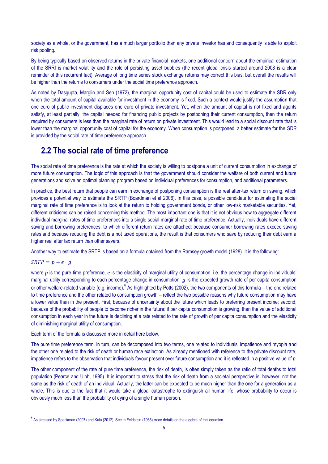society as a whole, or the government, has a much larger portfolio than any private investor has and consequently is able to exploit risk pooling.

By being typically based on observed returns in the private financial markets, one additional concern about the empirical estimation of the SRRI is market volatility and the role of persisting asset bubbles (the recent global crisis started around 2008 is a clear reminder of this recurrent fact). Average of long time series stock exchange returns may correct this bias, but overall the results will be higher than the returns to consumers under the social time preference approach.

As noted by Dasgupta, Marglin and Sen (1972), the marginal opportunity cost of capital could be used to estimate the SDR only when the total amount of capital available for investment in the economy is fixed. Such a context would justify the assumption that one euro of public investment displaces one euro of private investment. Yet, when the amount of capital is not fixed and agents satisfy, at least partially, the capital needed for financing public projects by postponing their current consumption, then the return required by consumers is less than the marginal rate of return on private investment. This would lead to a social discount rate that is lower than the marginal opportunity cost of capital for the economy. When consumption is postponed, a better estimate for the SDR is provided by the social rate of time preference approach.

### **2.2 The social rate of time preference**

The social rate of time preference is the rate at which the society is willing to postpone a unit of current consumption in exchange of more future consumption. The logic of this approach is that the government should consider the welfare of both current and future generations and solve an optimal planning program based on individual preferences for consumption, and additional parameters.

In practice, the best return that people can earn in exchange of postponing consumption is the real after-tax return on saving, which provides a potential way to estimate the SRTP (Boardman et al 2006). In this case, a possible candidate for estimating the social marginal rate of time preference is to look at the return to holding government bonds, or other low-risk marketable securities. Yet, different criticisms can be raised concerning this method. The most important one is that it is not obvious how to aggregate different individual marginal rates of time preferences into a single social marginal rate of time preference. Actually, individuals have different saving and borrowing preferences, to which different return rates are attached: because consumer borrowing rates exceed saving rates and because reducing the debt is a not taxed operations, the result is that consumers who save by reducing their debt earn a higher real after tax return than other savers.

Another way to estimate the SRTP is based on a formula obtained from the Ramsey growth model (1928). It is the following:

#### $S R T P = p + e \cdot g$

-

where  $p$  is the pure time preference,  $e$  is the elasticity of marginal utility of consumption, i.e. the percentage change in individuals' marginal utility corresponding to each percentage change in consumption;  $g$  is the expected growth rate of per capita consumption or other welfare-related variable (e.g. income).<sup>6</sup> As highlighted by Potts (2002), the two components of this formula – the one related to time preference and the other related to consumption growth – reflect the two possible reasons why future consumption may have a lower value than in the present. First, because of uncertainty about the future which leads to preferring present income; second, because of the probability of people to become richer in the future: if per capita consumption is growing, then the value of additional consumption in each year in the future is declining at a rate related to the rate of growth of per capita consumption and the elasticity of diminishing marginal utility of consumption.

Each term of the formula is discussed more in detail here below.

The pure time preference term, in turn, can be decomposed into two terms, one related to individuals' impatience and myopia and the other one related to the risk of death or human race extinction. As already mentioned with reference to the private discount rate, impatience refers to the observation that individuals favour present over future consumption and it is reflected in a positive value of *p*.

The other component of the rate of pure time preference, the risk of death, is often simply taken as the ratio of total deaths to total population (Pearce and Ulph, 1995). It is important to stress that the risk of death from a societal perspective is, however, not the same as the risk of death of an individual. Actually, the latter can be expected to be much higher than the one for a generation as a whole. This is due to the fact that it would take a global catastrophe to extinguish all human life, whose probability to occur is obviously much less than the probability of dying of a single human person.

 $^6$  As stressed by Spackman (2007) and Kula (2012). See in Feldstein (1965) more details on the algebra of this equation.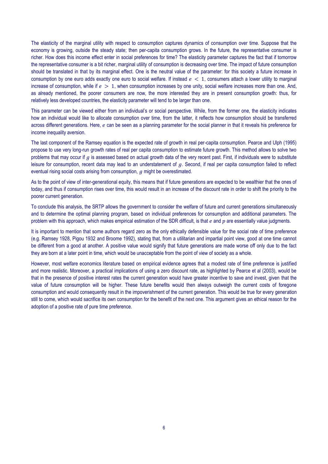The elasticity of the marginal utility with respect to consumption captures dynamics of consumption over time. Suppose that the economy is growing, outside the steady state; then per-capita consumption grows. In the future, the representative consumer is richer. How does this income effect enter in social preferences for time? The elasticity parameter captures the fact that if tomorrow the representative consumer is a bit richer, marginal utility of consumption is decreasing over time. The impact of future consumption should be translated in that by its marginal effect. One is the neutral value of the parameter: for this society a future increase in consumption by one euro adds exactly one euro to social welfare. If instead  $e < 1$ , consumers attach a lower utility to marginal increase of consumption, while if  $e > 1$ , when consumption increases by one unity, social welfare increases more than one. And, as already mentioned, the poorer consumers are now, the more interested they are in present consumption growth: thus, for relatively less developed countries, the elasticity parameter will tend to be larger than one.

This parameter can be viewed either from an individual's or social perspective. While, from the former one, the elasticity indicates how an individual would like to allocate consumption over time, from the latter, it reflects how consumption should be transferred across different generations. Here, e can be seen as a planning parameter for the social planner in that it reveals his preference for income inequality aversion.

The last component of the Ramsey equation is the expected rate of growth in real per-capita consumption. Pearce and Ulph (1995) propose to use very long-run growth rates of real per capita consumption to estimate future growth. This method allows to solve two problems that may occur if  $q$  is assessed based on actual growth data of the very recent past. First, if individuals were to substitute leisure for consumption, recent data may lead to an understatement of  $g$ . Second, if real per capita consumption failed to reflect eventual rising social costs arising from consumption,  $q$  might be overestimated.

As to the point of view of inter-generational equity, this means that if future generations are expected to be wealthier that the ones of today, and thus if consumption rises over time, this would result in an increase of the discount rate in order to shift the priority to the poorer current generation.

To conclude this analysis, the SRTP allows the government to consider the welfare of future and current generations simultaneously and to determine the optimal planning program, based on individual preferences for consumption and additional parameters. The problem with this approach, which makes empirical estimation of the SDR difficult, is that  $e$  and  $p$  are essentially value judgments.

It is important to mention that some authors regard zero as the only ethically defensible value for the social rate of time preference (e.g. Ramsey 1928, Pigou 1932 and Broome 1992), stating that, from a utilitarian and impartial point view, good at one time cannot be different from a good at another. A positive value would signify that future generations are made worse off only due to the fact they are born at a later point in time, which would be unacceptable from the point of view of society as a whole.

However, most welfare economics literature based on empirical evidence agrees that a modest rate of time preference is justified and more realistic. Moreover, a practical implications of using a zero discount rate, as highlighted by Pearce et al (2003), would be that in the presence of positive interest rates the current generation would have greater incentive to save and invest, given that the value of future consumption will be higher. These future benefits would then always outweigh the current costs of foregone consumption and would consequently result in the impoverishment of the current generation. This would be true for every generation still to come, which would sacrifice its own consumption for the benefit of the next one. This argument gives an ethical reason for the adoption of a positive rate of pure time preference.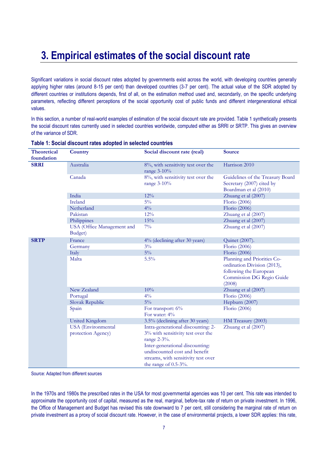## **3. Empirical estimates of the social discount rate**

Significant variations in social discount rates adopted by governments exist across the world, with developing countries generally applying higher rates (around 8-15 per cent) than developed countries (3-7 per cent). The actual value of the SDR adopted by different countries or institutions depends, first of all, on the estimation method used and, secondarily, on the specific underlying parameters, reflecting different perceptions of the social opportunity cost of public funds and different intergenerational ethical values.

In this section, a number of real-world examples of estimation of the social discount rate are provided. Table 1 synthetically presents the social discount rates currently used in selected countries worldwide, computed either as SRRI or SRTP. This gives an overview of the variance of SDR.

| <b>Theoretical</b> | <b>Country</b>                        | Social discount rate (real)<br><b>Source</b>                                                                                                                                            |                                                                                                                             |  |
|--------------------|---------------------------------------|-----------------------------------------------------------------------------------------------------------------------------------------------------------------------------------------|-----------------------------------------------------------------------------------------------------------------------------|--|
| foundation         |                                       |                                                                                                                                                                                         |                                                                                                                             |  |
| <b>SRRI</b>        | Australia                             | 8%, with sensitivity test over the<br>range 3-10%                                                                                                                                       | Harrison 2010                                                                                                               |  |
|                    | Canada                                | 8%, with sensitivity test over the<br>range 3-10%                                                                                                                                       | Guidelines of the Treasury Board<br>Secretary (2007) cited by<br>Boardman et al (2010)                                      |  |
|                    | India                                 | 12%                                                                                                                                                                                     | Zhuang et al (2007)                                                                                                         |  |
|                    | Ireland                               | $5\%$                                                                                                                                                                                   | Florio (2006)                                                                                                               |  |
|                    | Netherland                            | $4\%$                                                                                                                                                                                   | Florio (2006)                                                                                                               |  |
|                    | Pakistan                              | 12%                                                                                                                                                                                     | Zhuang et al (2007)                                                                                                         |  |
|                    | Philippines                           | 15%                                                                                                                                                                                     | Zhuang et al (2007)                                                                                                         |  |
|                    | USA (Office Management and<br>Budget) | $7\%$                                                                                                                                                                                   | Zhuang et al (2007)                                                                                                         |  |
| <b>SRTP</b>        | France                                | 4% (declining after 30 years)                                                                                                                                                           | Quinet (2007).                                                                                                              |  |
|                    | Germany                               | $3\%$                                                                                                                                                                                   | Florio (2006)                                                                                                               |  |
|                    | Italy                                 | $5\%$                                                                                                                                                                                   | Florio (2006)                                                                                                               |  |
|                    | Malta                                 | 5.5%                                                                                                                                                                                    | Planning and Priorities Co-<br>ordination Division (2013),<br>following the European<br>Commission DG Regio Guide<br>(2008) |  |
|                    | New Zealand                           | 10%                                                                                                                                                                                     | Zhuang et al (2007)                                                                                                         |  |
|                    | Portugal                              | $4\%$                                                                                                                                                                                   | Florio (2006)                                                                                                               |  |
|                    | Slovak Republic                       | $5\%$                                                                                                                                                                                   | Hepburn (2007)                                                                                                              |  |
|                    | Spain                                 | For transport: 6%<br>For water: 4%                                                                                                                                                      | Florio (2006)                                                                                                               |  |
|                    | United Kingdom                        | 3.5% (declining after 30 years)                                                                                                                                                         | HM Treasury (2003)                                                                                                          |  |
|                    | USA (Environmental                    | Intra-generational discounting: 2-                                                                                                                                                      | Zhuang et al (2007)                                                                                                         |  |
|                    | protection Agency)                    | 3% with sensitivity test over the<br>range 2-3%.<br>Inter-generational discounting:<br>undiscounted cost and benefit<br>streams, with sensitivity test over<br>the range of $0.5-3\%$ . |                                                                                                                             |  |
|                    |                                       |                                                                                                                                                                                         |                                                                                                                             |  |

#### **Table 1: Social discount rates adopted in selected countries**

Source: Adapted from different sources

In the 1970s and 1980s the prescribed rates in the USA for most governmental agencies was 10 per cent. This rate was intended to approximate the opportunity cost of capital, measured as the real, marginal, before-tax rate of return on private investment. In 1996, the Office of Management and Budget has revised this rate downward to 7 per cent, still considering the marginal rate of return on private investment as a proxy of social discount rate. However, in the case of environmental projects, a lower SDR applies: this rate,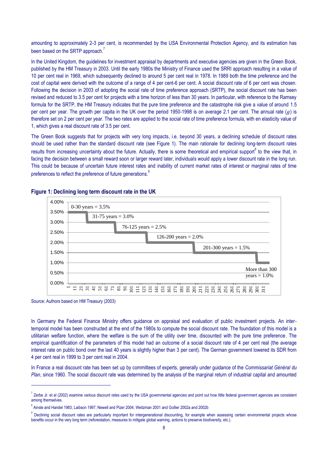amounting to approximately 2-3 per cent, is recommended by the USA Environmental Protection Agency, and its estimation has been based on the SRTP approach.<sup>7</sup>

In the United Kingdom, the guidelines for investment appraisal by departments and executive agencies are given in the Green Book, published by the HM Treasury in 2003. Until the early 1980s the Ministry of Finance used the SRRI approach resulting in a value of 10 per cent real in 1969, which subsequently declined to around 5 per cent real in 1978. In 1989 both the time preference and the cost of capital were derived with the outcome of a range of 4 per cent-6 per cent. A social discount rate of 6 per cent was chosen. Following the decision in 2003 of adopting the social rate of time preference approach (SRTP), the social discount rate has been revised and reduced to 3.5 per cent for projects with a time horizon of less than 30 years. In particular, with reference to the Ramsey formula for the SRTP, the HM Treasury indicates that the pure time preference and the catastrophe risk give a value of around 1.5 per cent per year. The growth per capita in the UK over the period 1950-1998 is on average 2.1 per cent. The annual rate  $(q)$  is therefore set on 2 per cent per year. The two rates are applied to the social rate of time preference formula, with en elasticity value of 1, which gives a real discount rate of 3.5 per cent.

The Green Book suggests that for projects with very long impacts, i.e. beyond 30 years, a declining schedule of discount rates should be used rather than the standard discount rate (see Figure 1). The main rationale for declining long-term discount rates results from increasing uncertainty about the future. Actually, there is some theoretical and empirical support<sup>8</sup> to the view that, in facing the decision between a small reward soon or larger reward later, individuals would apply a lower discount rate in the long run. This could be because of uncertain future interest rates and inability of current market rates of interest or marginal rates of time preferences to reflect the preference of future generations.<sup>9</sup>



#### **Figure 1: Declining long term discount rate in the UK**

Source: Authors based on HM Treasury (2003)

.

In Germany the Federal Finance Ministry offers guidance on appraisal and evaluation of public investment projects. An intertemporal model has been constructed at the end of the 1980s to compute the social discount rate. The foundation of this model is a utilitarian welfare function, where the welfare is the sum of the utility over time, discounted with the pure time preference. The empirical quantification of the parameters of this model had an outcome of a social discount rate of 4 per cent real (the average interest rate on public bond over the last 40 years is slightly higher than 3 per cent). The German government lowered its SDR from 4 per cent real in 1999 to 3 per cent real in 2004.

In France a real discount rate has been set up by committees of experts, generally under guidance of the *Commissariat Général du Plan*, since 1960. The social discount rate was determined by the analysis of the marginal return of industrial capital and amounted

 $^7$  Zerbe Jr. et al (2002) examine various discount rates used by the USA governmental agencies and point out how little federal government agencies are consistent among themselves.

 $^8$  Ainsle and Handel 1983, Laibson 1997, Newell and Pizer 2004, Weitzman 2001 and Gollier 2002a and 2002b

<sup>&</sup>lt;sup>9</sup> Declining social discount rates are particularly important for intergenerational discounting, for example when assessing certain environmental projects whose benefits occur in the very long term (reforestation, measures to mitigate global warning, actions to preserve biodiversity, etc.).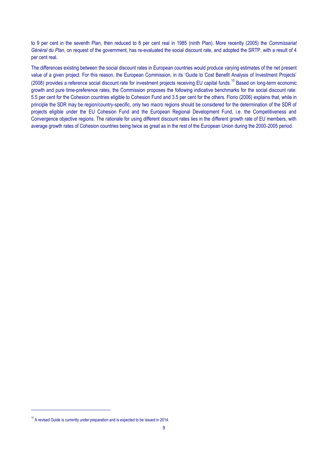to 9 per cent in the seventh Plan, then reduced to 8 per cent real in 1985 (ninth Plan). More recently (2005) the *Commissariat Général du Plan*, on request of the government, has re-evaluated the social discount rate, and adopted the SRTP, with a result of 4 per cent real.

The differences existing between the social discount rates in European countries would produce varying estimates of the net present value of a given project. For this reason, the European Commission, in its 'Guide to Cost Benefit Analysis of Investment Projects' (2008) provides a reference social discount rate for investment projects receiving EU capital funds.<sup>10</sup> Based on long-term economic growth and pure time-preference rates, the Commission proposes the following indicative benchmarks for the social discount rate: 5.5 per cent for the Cohesion countries eligible to Cohesion Fund and 3.5 per cent for the others. Florio (2006) explains that, while in principle the SDR may be region/country-specific, only two macro regions should be considered for the determination of the SDR of projects eligible under the EU Cohesion Fund and the European Regional Development Fund, i.e. the Competitiveness and Convergence objective regions. The rationale for using different discount rates lies in the different growth rate of EU members, with average growth rates of Cohesion countries being twice as great as in the rest of the European Union during the 2000-2005 period.

-

 $10<sup>10</sup>$  A revised Guide is currently under preparation and is expected to be issued in 2014.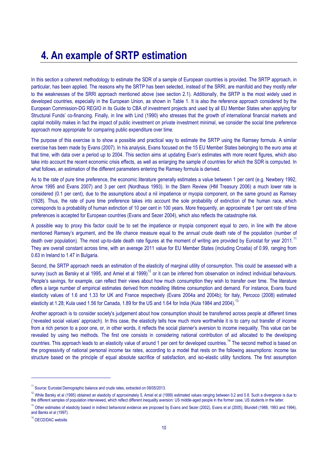### **4. An example of SRTP estimation**

In this section a coherent methodology to estimate the SDR of a sample of European countries is provided. The SRTP approach, in particular, has been applied. The reasons why the SRTP has been selected, instead of the SRRI, are manifold and they mostly refer to the weaknesses of the SRRI approach mentioned above (see section 2.1). Additionally, the SRTP is the most widely used in developed countries, especially in the European Union, as shown in Table 1. It is also the reference approach considered by the European Commission-DG REGIO in its Guide to CBA of investment projects and used by all EU Member States when applying for Structural Funds' co-financing. Finally, in line with Lind (1990) who stresses that the growth of international financial markets and capital mobility makes in fact the impact of public investment on private investment minimal, we consider the social time preference approach more appropriate for comparing public expenditure over time.

The purpose of this exercise is to show a possible and practical way to estimate the SRTP using the Ramsey formula. A similar exercise has been made by Evans (2007). In his analysis, Evans focused on the 15 EU Member States belonging to the euro area at that time, with data over a period up to 2004. This section aims at updating Evan's estimates with more recent figures, which also take into account the recent economic crisis effects, as well as enlarging the sample of countries for which the SDR is computed. In what follows, an estimation of the different parameters entering the Ramsey formula is derived.

As to the rate of pure time preference, the economic literature generally estimates a value between 1 per cent (e.g. Newbery 1992, Arrow 1995 and Evans 2007) and 3 per cent (Nordhaus 1993). In the Stern Review (HM Treasury 2006) a much lower rate is considered (0.1 per cent), due to the assumptions about a nil impatience or myopia component, on the same ground as Ramsey (1928). Thus, the rate of pure time preference takes into account the sole probability of extinction of the human race, which corresponds to a probability of human extinction of 10 per cent in 100 years. More frequently, an approximate 1 per cent rate of time preferences is accepted for European countries (Evans and Sezer 2004), which also reflects the catastrophe risk.

A possible way to proxy this factor could be to set the impatience or myopia component equal to zero, in line with the above mentioned Ramsey's argument, and the life chance measure equal to the annual crude death rate of the population (number of death over population). The most up-to-date death rate figures at the moment of writing are provided by Eurostat for year 2011.<sup>11</sup> They are overall constant across time, with an average 2011 value for EU Member States (including Croatia) of 0.99, ranging from 0.63 in Ireland to 1.47 in Bulgaria.

Second, the SRTP approach needs an estimation of the elasticity of marginal utility of consumption. This could be assessed with a survey (such as Barsky et al 1995, and Amiel et al 1999)<sup>12</sup> or it can be inferred from observation on indirect individual behaviours. People's savings, for example, can reflect their views about how much consumption they wish to transfer over time. The literature offers a large number of empirical estimates derived from modelling lifetime consumption and demand. For instance, Evans found elasticity values of 1.6 and 1.33 for UK and France respectively (Evans 2004a and 2004b); for Italy, Percoco (2008) estimated elasticity at 1.28; Kula used 1.56 for Canada, 1.89 for the US and 1.64 for India (Kula 1984 and 2004).<sup>13</sup>

Another approach is to consider society's judgement about how consumption should be transferred across people at different times ('revealed social values' approach). In this case, the elasticity tells how much more worthwhile it is to carry out transfer of income from a rich person to a poor one, or, in other words, it reflects the social planner's aversion to income inequality. This value can be revealed by using two methods. The first one consists in considering national contribution of aid allocated to the developing countries. This approach leads to an elasticity value of around 1 per cent for developed countries.<sup>14</sup> The second method is based on the progressivity of national personal income tax rates, according to a model that rests on the following assumptions: income tax structure based on the principle of equal absolute sacrifice of satisfaction, and iso-elastic utility functions. The first assumption

-

<sup>&</sup>lt;sup>11</sup> Source: Eurostat Demographic balance and crude rates, extracted on 08/05/2013.

<sup>&</sup>lt;sup>12</sup> While Barsky et al (1995) obtained an elasticity of approximately 5, Amiel et al (1999) estimated values ranging between 0.2 and 0.8. Such a divergence is due to the different samples of population interviewed, which reflect different inequality aversion: US middle-aged people in the former case, US students in the latter.

<sup>&</sup>lt;sup>13</sup> Other estimates of elasticity based in indirect behavioral evidence are proposed by Evans and Sezer (2002), Evans et al (2005), Blundell (1988, 1993 and 1994), and Banks et al (1997).

<sup>&</sup>lt;sup>14</sup> OECD/DAC website.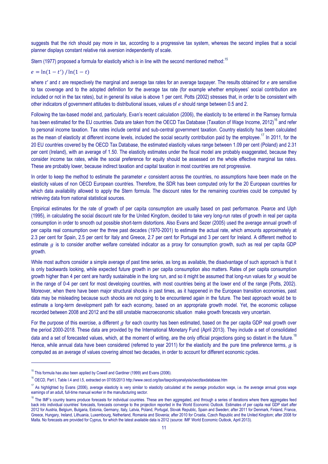suggests that the rich should pay more in tax, according to a progressive tax system, whereas the second implies that a social planner displays constant relative risk aversion independently of scale.

Stern (1977) proposed a formula for elasticity which is in line with the second mentioned method:<sup>15</sup>

$$
e = \ln(1-t') / \ln(1-t)
$$

where  $t'$  and  $t$  are respectively the marginal and average tax rates for an average taxpayer. The results obtained for  $e$  are sensitive to tax coverage and to the adopted definition for the average tax rate (for example whether employees' social contribution are included or not in the tax rates), but in general its value is above 1 per cent. Potts (2002) stresses that, in order to be consistent with other indicators of government attitudes to distributional issues, values of e should range between 0.5 and 2.

Following the tax-based model and, particularly, Evan's recent calculation (2006), the elasticity to be entered in the Ramsey formula has been estimated for the EU countries. Data are taken from the OECD Tax Database (Taxation of Wage Income, 2012)<sup>16</sup> and refer to personal income taxation. Tax rates include central and sub-central government taxation. Country elasticity has been calculated as the mean of elasticity at different income levels, included the social security contribution paid by the employee.<sup>17</sup> In 2011, for the 20 EU countries covered by the OECD Tax Database, the estimated elasticity values range between 1.09 per cent (Poland) and 2.31 per cent (Ireland), with an average of 1.50. The elasticity estimates under the fiscal model are probably exaggerated, because they consider income tax rates, while the social preference for equity should be assessed on the whole effective marginal tax rates. These are probably lower, because indirect taxation and capital taxation in most countries are not progressive.

In order to keep the method to estimate the parameter  $e$  consistent across the countries, no assumptions have been made on the elasticity values of non OECD European countries. Therefore, the SDR has been computed only for the 20 European countries for which data availability allowed to apply the Stern formula. The discount rates for the remaining countries could be computed by retrieving data from national statistical sources.

Empirical estimates for the rate of growth of per capita consumption are usually based on past performance. Pearce and Ulph (1995), in calculating the social discount rate for the United Kingdom, decided to take very long-run rates of growth in real per capita consumption in order to smooth out possible short-term distortions. Also Evans and Sezer (2005) used the average annual growth of per capita real consumption over the three past decades (1970-2001) to estimate the actual rate, which amounts approximately at 2.3 per cent for Spain, 2.5 per cent for Italy and Greece, 2.7 per cent for Portugal and 3 per cent for Ireland. A different method to estimate  $q$  is to consider another welfare correlated indicator as a proxy for consumption growth, such as real per capita GDP growth.

While most authors consider a simple average of past time series, as long as available, the disadvantage of such approach is that it is only backwards looking, while expected future growth in per capita consumption also matters. Rates of per capita consumption growth higher than 4 per cent are hardly sustainable in the long run, and so it might be assumed that long-run values for  $g$  would be in the range of 0-4 per cent for most developing countries, with most countries being at the lower end of the range (Potts, 2002). Moreover, when there have been major structural shocks in past times, as it happened in the European transition economies, past data may be misleading because such shocks are not going to be encountered again in the future. The best approach would be to estimate a long-term development path for each economy, based on an appropriate growth model. Yet, the economic collapse recorded between 2008 and 2012 and the still unstable macroeconomic situation make growth forecasts very uncertain.

For the purpose of this exercise, a different  $g$  for each country has been estimated, based on the per capita GDP real growth over the period 2000-2018. These data are provided by the International Monetary Fund (April 2013). They include a set of consolidated data and a set of forecasted values, which, at the moment of writing, are the only official projections going so distant in the future.<sup>18</sup> Hence, while annual data have been considered (referred to year 2011) for the elasticity and the pure time preference terms,  $q$  is computed as an average of values covering almost two decades, in order to account for different economic cycles.

-

 $15$  This formula has also been applied by Cowell and Gardiner (1999) and Evans (2006).

<sup>&</sup>lt;sup>16</sup> OECD, Part I, Table I.4 and I.5, extracted on 07/05/2013 http://www.oecd.org/tax/taxpolicyanalysis/oecdtaxdatabase.htm

<sup>&</sup>lt;sup>17</sup> As highlighted by Evans (2006), average elasticity is very similar to elasticity calculated at the average production wage, i.e. the average annual gross wage earnings of an adult, full-time manual worker in the manufacturing sector.

<sup>&</sup>lt;sup>18</sup> The IMF's country teams produce forecasts for individual countries. These are then aggregated, and through a series of iterations where there aggregates feed back into individual countries' forecasts, forecasts converge to the projection reported in the World Economic Outlook. Estimates of per capita real GDP start after 2012 for Austria, Belgium, Bulgaria, Estonia, Germany, Italy, Latvia, Poland, Portugal, Slovak Republic, Spain and Sweden; after 2011 for Denmark, Finland, France, Greece, Hungary, Ireland, Lithuania, Luxembourg, Netherland, Romania and Slovenia; after 2010 for Croatia, Czech Republic and the United Kingdom; after 2008 for Malta. No forecasts are provided for Cyprus, for which the latest available data is 2012 (source: IMF World Economic Outlook, April 2013).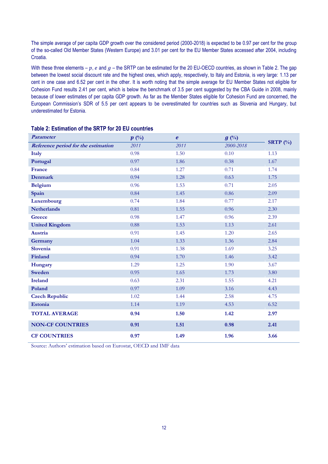The simple average of per capita GDP growth over the considered period (2000-2018) is expected to be 0.97 per cent for the group of the so-called Old Member States (Western Europe) and 3.01 per cent for the EU Member States accessed after 2004, including Croatia.

With these three elements –  $p$ , e and  $q$  – the SRTP can be estimated for the 20 EU-OECD countries, as shown in Table 2. The gap between the lowest social discount rate and the highest ones, which apply, respectively, to Italy and Estonia, is very large: 1.13 per cent in one case and 6.52 per cent in the other. It is worth noting that the simple average for EU Member States not eligible for Cohesion Fund results 2.41 per cent, which is below the benchmark of 3.5 per cent suggested by the CBA Guide in 2008, mainly because of lower estimates of per capita GDP growth. As far as the Member States eligible for Cohesion Fund are concerned, the European Commission's SDR of 5.5 per cent appears to be overestimated for countries such as Slovenia and Hungary, but underestimated for Estonia.

| <b>Parameter</b>                    | $p$ (%) | $\boldsymbol{e}$ | $g(\%)$   | SRTP $(\%)$ |
|-------------------------------------|---------|------------------|-----------|-------------|
| Reference period for the estimation | 2011    | 2011             | 2000-2018 |             |
| Italy                               | 0.98    | 1.50             | 0.10      | 1.13        |
| Portugal                            | 0.97    | 1.86             | 0.38      | 1.67        |
| <b>France</b>                       | 0.84    | 1.27             | 0.71      | 1.74        |
| <b>Denmark</b>                      | 0.94    | 1.28             | 0.63      | 1.75        |
| <b>Belgium</b>                      | 0.96    | 1.53             | 0.71      | 2.05        |
| Spain                               | 0.84    | 1.45             | 0.86      | 2.09        |
| Luxembourg                          | 0.74    | 1.84             | 0.77      | 2.17        |
| <b>Netherlands</b>                  | 0.81    | 1.55             | 0.96      | 2.30        |
| <b>Greece</b>                       | 0.98    | 1.47             | 0.96      | 2.39        |
| <b>United Kingdom</b>               | 0.88    | 1.53             | 1.13      | 2.61        |
| Austria                             | 0.91    | 1.45             | 1.20      | 2.65        |
| Germany                             | 1.04    | 1.33             | 1.36      | 2.84        |
| Slovenia                            | 0.91    | 1.38             | 1.69      | 3.25        |
| Finland                             | 0.94    | 1.70             | 1.46      | 3.42        |
| Hungary                             | 1.29    | 1.25             | 1.90      | 3.67        |
| <b>Sweden</b>                       | 0.95    | 1.65             | 1.73      | 3.80        |
| <b>Ireland</b>                      | 0.63    | 2.31             | 1.55      | 4.21        |
| Poland                              | 0.97    | 1.09             | 3.16      | 4.43        |
| <b>Czech Republic</b>               | 1.02    | 1.44             | 2.58      | 4.75        |
| <b>Estonia</b>                      | 1.14    | 1.19             | 4.53      | 6.52        |
| <b>TOTAL AVERAGE</b>                | 0.94    | 1.50             | 1.42      | 2.97        |
| <b>NON-CF COUNTRIES</b>             | 0.91    | 1.51             | 0.98      | 2.41        |
| <b>CF COUNTRIES</b>                 | 0.97    | 1.49             | 1.96      | 3.66        |

#### **Table 2: Estimation of the SRTP for 20 EU countries**

Source: Authors' estimation based on Eurostat, OECD and IMF data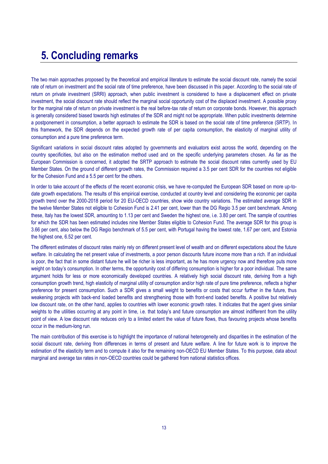## **5. Concluding remarks**

The two main approaches proposed by the theoretical and empirical literature to estimate the social discount rate, namely the social rate of return on investment and the social rate of time preference, have been discussed in this paper. According to the social rate of return on private investment (SRRI) approach, when public investment is considered to have a displacement effect on private investment, the social discount rate should reflect the marginal social opportunity cost of the displaced investment. A possible proxy for the marginal rate of return on private investment is the real before-tax rate of return on corporate bonds. However, this approach is generally considered biased towards high estimates of the SDR and might not be appropriate. When public investments determine a postponement in consumption, a better approach to estimate the SDR is based on the social rate of time preference (SRTP). In this framework, the SDR depends on the expected growth rate of per capita consumption, the elasticity of marginal utility of consumption and a pure time preference term.

Significant variations in social discount rates adopted by governments and evaluators exist across the world, depending on the country specificities, but also on the estimation method used and on the specific underlying parameters chosen. As far as the European Commission is concerned, it adopted the SRTP approach to estimate the social discount rates currently used by EU Member States. On the ground of different growth rates, the Commission required a 3.5 per cent SDR for the countries not eligible for the Cohesion Fund and a 5.5 per cent for the others.

In order to take account of the effects of the recent economic crisis, we have re-computed the European SDR based on more up-todate growth expectations. The results of this empirical exercise, conducted at country level and considering the economic per capita growth trend over the 2000-2018 period for 20 EU-OECD countries, show wide country variations. The estimated average SDR in the twelve Member States not eligible to Cohesion Fund is 2.41 per cent, lower than the DG Regio 3.5 per cent benchmark. Among these, Italy has the lowest SDR, amounting to 1.13 per cent and Sweden the highest one, i.e. 3.80 per cent. The sample of countries for which the SDR has been estimated includes nine Member States eligible to Cohesion Fund. The average SDR for this group is 3.66 per cent, also below the DG Regio benchmark of 5.5 per cent, with Portugal having the lowest rate, 1.67 per cent, and Estonia the highest one, 6.52 per cent.

The different estimates of discount rates mainly rely on different present level of wealth and on different expectations about the future welfare. In calculating the net present value of investments, a poor person discounts future income more than a rich. If an individual is poor, the fact that in some distant future he will be richer is less important, as he has more urgency now and therefore puts more weight on today's consumption. In other terms, the opportunity cost of differing consumption is higher for a poor individual. The same argument holds for less or more economically developed countries. A relatively high social discount rate, deriving from a high consumption growth trend, high elasticity of marginal utility of consumption and/or high rate of pure time preference, reflects a higher preference for present consumption. Such a SDR gives a small weight to benefits or costs that occur further in the future, thus weakening projects with back-end loaded benefits and strengthening those with front-end loaded benefits. A positive but relatively low discount rate, on the other hand, applies to countries with lower economic growth rates. It indicates that the agent gives similar weights to the utilities occurring at any point in time, i.e. that today's and future consumption are almost indifferent from the utility point of view. A low discount rate reduces only to a limited extent the value of future flows, thus favouring projects whose benefits occur in the medium-long run.

The main contribution of this exercise is to highlight the importance of national heterogeneity and disparities in the estimation of the social discount rate, deriving from differences in terms of present and future welfare. A line for future work is to improve the estimation of the elasticity term and to compute it also for the remaining non-OECD EU Member States. To this purpose, data about marginal and average tax rates in non-OECD countries could be gathered from national statistics offices.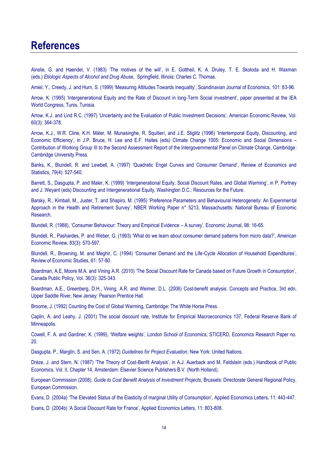### **References**

Ainslie, G. and Haendel, V. (1983) 'The motives of the will', in E. Gottheil, K. A. Druley, T. E. Skoloda and H. Waxman (eds.) *Etiologic Aspects of Alcohol and Drug Abuse*, Springfield, Illinois: Charles C. Thomas.

Amiel, Y., Creedy, J. and Hurn, S. (1999) 'Measuring Attitudes Towards Inequality', Scandinavian Journal of Economics, 101: 83-96.

Arrow, K. (1995) 'Intergenerational Equity and the Rate of Discount in long-Term Social investment', paper presented at the IEA World Congress, Tunis, Tunisia.

Arrow, K.J. and Lind R.C. (1997) 'Uncertainty and the Evaluation of Public Investment Decisions', American Economic Review, Vol. 60(3): 364-378.

Arrow, K.J., W.R. Cline, K.H. Mäler, M. Munasinghe, R. Squitieri, and J.E. Stiglitz (1996) 'Intertemporal Equity, Discounting, and Economic Efficiency', in J.P. Bruce, H. Lee and E.F. Haites (eds) Climate Change 1005: Economic and Social Dimensions – Contribution of Working Group III to the Second Assessment Report of the Intergovernmental Panel on Climate Change, Cambridge: Cambridge University Press.

Banks, K., Blundell, R. and Lewbell, A. (1997) 'Quadratic Engel Curves and Consumer Demand', Review of Economics and Statistics, 79(4): 527-540.

Barrett, S., Dasgupta, P. and Maler, K. (1999) 'Intergenerational Equity, Social Discount Rates, and Global Warming', in P. Portney and J. Weyant (eds) Discounting and Intergenerational Equity, Washington D.C.: Resources for the Future.

Barsky, R., Kimball, M., Juster, T. and Shapiro, M. (1995) 'Preference Parameters and Behavioural Heterogeneity: An Experimental Approach in the Health and Retirement Survey', NBER Working Paper n° 5213, Massachusetts: National Bureau of Economic Research.

Blundell, R. (1988), 'Consumer Behaviour: Theory and Empirical Evidence – A survey', Economic Journal, 98: 16-65.

Blundell, R., Pashardes, P. and Weber, G. (1993) 'What do we learn about consumer demand patterns from micro data?', American Economic Review, 83(3): 570-597.

Blundell, R., Browning, M. and Meghir, C. (1994) 'Consumer Demand and the Life-Cycle Allocation of Household Expenditures', Review of Economic Studies, 61: 57-80.

Boardman, A.E, Moore M.A. and Vining A.R. (2010) 'The Social Discount Rate for Canada based on Future Growth in Consumption', Canada Public Policy, Vol. 36(3): 325-343.

Boardman, A.E., Greenberg, D.H., Vining, A.R. and Weimer, D.L. (2006) Cost-benefit analysis: Concepts and Practice, 3rd edn, Upper Saddle River, New Jersey: Pearson Prentice Hall.

Broome, J. (1992) Counting the Cost of Global Warming, Cambridge: The White Horse Press.

Caplin, A. and Leahy, J. (2001) The social discount rate, Institute for Empirical Macroeconomics 137, Federal Reserve Bank of Minneapolis.

Cowell, F. A. and Gardiner, K. (1999), 'Welfare weights', London School of Economics, STICERD, Economics Research Paper no. 20.

Dasgupta, P., Marglin, S. and Sen, A. (1972) *Guidelines for Project Evaluation*, New York: United Nations.

Drèze, J. and Stern, N. (1987) 'The Theory of Cost-Benfit Analysis', in A.J. Auerback and M. Feldstein (eds.) Handbook of Public Economics, Vol. II, Chapter 14, Amsterdam: Elsevier Science Publishers B.V. (North Holland).

European Commission (2008), *Guide to Cost Benefit Analysis of Investment Projects*, Brussels: Directorate General Regional Policy, European Commission.

Evans, D. (2004a) 'The Elevated Status of the Elasticity of marginal Utility of Consumption', Applied Economics Letters, 11: 443-447.

Evans, D. (2004b) 'A Social Discount Rate for France', Applied Economics Letters, 11: 803-808.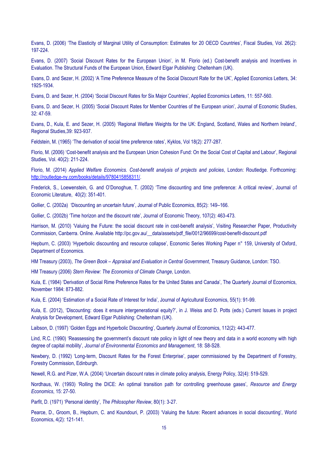Evans, D. (2006) 'The Elasticity of Marginal Utility of Consumption: Estimates for 20 OECD Countries', Fiscal Studies, Vol. 26(2): 197-224.

Evans, D. (2007) 'Social Discount Rates for the European Union', in M. Florio (ed.) Cost-benefit analysis and Incentives in Evaluation. The Structural Funds of the European Union, Edward Elgar Publishing: Cheltenham (UK).

Evans, D. and Sezer, H. (2002) 'A Time Preference Measure of the Social Discount Rate for the UK', Applied Economics Letters, 34: 1925-1934.

Evans, D. and Sezer, H. (2004) 'Social Discount Rates for Six Major Countries', Applied Economics Letters, 11: 557-560.

Evans, D. and Sezer, H. (2005) 'Social Discount Rates for Member Countries of the European union', Journal of Economic Studies,  $32 \cdot 47 - 59$ 

Evans, D., Kula, E. and Sezer, H. (2005) 'Regional Welfare Weights for the UK: England, Scotland, Wales and Northern Ireland', Regional Studies,39: 923-937.

Feldstein, M. (1965) 'The derivation of social time preference rates', Kyklos, Vol 18(2): 277-287.

Florio, M. (2006) 'Cost-benefit analysis and the European Union Cohesion Fund: On the Social Cost of Capital and Labour', Regional Studies, Vol. 40(2): 211-224.

Florio, M. (2014) *Applied Welfare Economics. Cost-benefit analysis of projects and policies*, London: Routledge. Forthcoming: [http://routledge-ny.com/books/details/9780415858311/.](http://routledge-ny.com/books/details/9780415858311/) 

Frederick, S., Loewenstein, G. and O'Donoghue, T. (2002) 'Time discounting and time preference: A critical review', Journal of Economic Literature, 40(2): 351-401.

Gollier, C. (2002a) 'Discounting an uncertain future', Journal of Public Economics, 85(2): 149–166.

Gollier, C. (2002b) 'Time horizon and the discount rate', Journal of Economic Theory, 107(2): 463-473.

Harrison, M. (2010) 'Valuing the Future: the social discount rate in cost-benefit analysis', Visiting Researcher Paper, Productivity Commission, Canberra. Online. Available [http://pc.gov.au/\\_\\_data/assets/pdf\\_file/0012/96699/cost-benefit-discount.pdf](http://pc.gov.au/__data/assets/pdf_file/0012/96699/cost-benefit-discount.pdf)

Hepburn, C. (2003) 'Hyperbolic discounting and resource collapse', Economic Series Working Paper n° 159, University of Oxford, Department of Economics.

HM Treasury (2003), *The Green Book – Appraisal and Evaluation in Central Government*, Treasury Guidance, London: TSO.

HM Treasury (2006) *Stern Review: The Economics of Climate Change*, London.

Kula, E. (1984) 'Derivation of Social Rime Preference Rates for the United States and Canada', The Quarterly Journal of Economics, November 1984: 873-882.

Kula, E. (2004) 'Estimation of a Social Rate of Interest for India', Journal of Agricultural Economics, 55(1): 91-99.

Kula, E. (2012), 'Discounting: does it ensure intergenerational equity?', in J. Weiss and D. Potts (eds.) Current Issues in project Analysis for Development, Edward Elgar Publishing: Cheltenham (UK).

Laibson, D. (1997) 'Golden Eggs and Hyperbolic Discounting', Quarterly Journal of Economics, 112(2): 443-477.

Lind, R.C. (1990) 'Reassessing the government's discount rate policy in light of new theory and data in a world economy with high degree of capital mobility', *Journal of Environmental Economics and Management*, 18: S8-S28.

Newbery, D. (1992) 'Long-term, Discount Rates for the Forest Enterprise', paper commissioned by the Department of Forestry, Forestry Commission, Edinburgh.

Newell, R.G. and Pizer, W.A. (2004) 'Uncertain discount rates in climate policy analysis, Energy Policy, 32(4): 519-529.

Nordhaus, W. (1993) 'Rolling the DICE: An optimal transition path for controlling greenhouse gases', *Resource and Energy Economics*, 15: 27-50.

Parfit, D. (1971) 'Personal identity', *The Philosopher Review*, 80(1): 3-27.

Pearce, D., Groom, B., Hepburn, C. and Koundouri, P. (2003) 'Valuing the future: Recent advances in social discounting', World Economics, 4(2): 121-141.